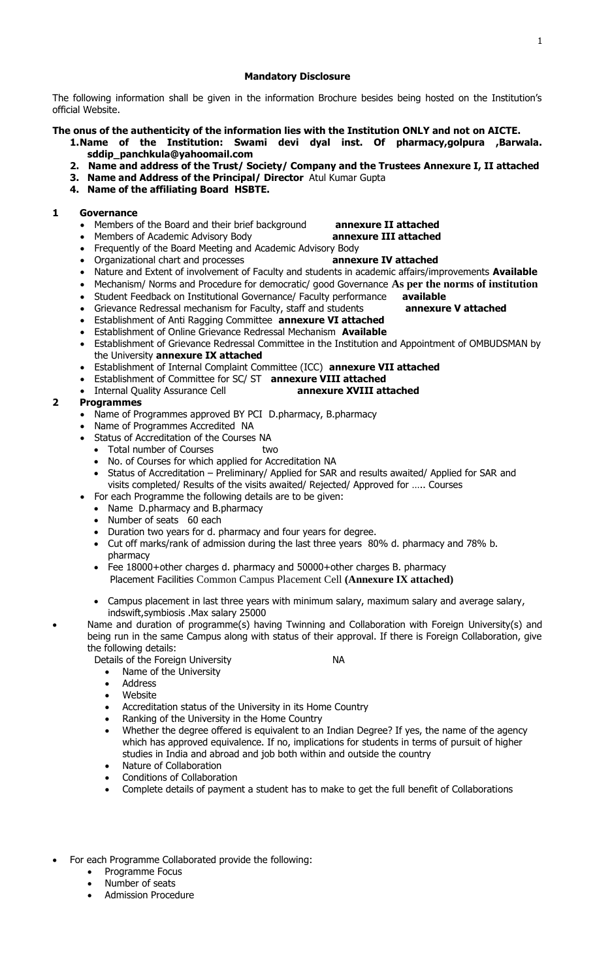#### **Mandatory Disclosure**

The following information shall be given in the information Brochure besides being hosted on the Institution's official Website.

**The onus of the authenticity of the information lies with the Institution ONLY and not on AICTE.**

- **1.Name of the Institution: Swami devi dyal inst. Of pharmacy,golpura ,Barwala. sddip\_panchkula@yahoomail.com**
- **2. Name and address of the Trust/ Society/ Company and the Trustees Annexure I, II attached**
- **3. Name and Address of the Principal/ Director** Atul Kumar Gupta
- **4. Name of the affiliating Board HSBTE.**

#### **1 Governance**

- Members of the Board and their brief background **annexure II attached**
- Members of Academic Advisory Body **annexure III attached**

- Frequently of the Board Meeting and Academic Advisory Body
- Organizational chart and processes **annexure IV attached**
- Nature and Extent of involvement of Faculty and students in academic affairs/improvements **Available**
- Mechanism/ Norms and Procedure for democratic/ good Governance **As per the norms of institution**
- Student Feedback on Institutional Governance/ Faculty performance **available**
- Grievance Redressal mechanism for Faculty, staff and students **annexure V attached**
- Establishment of Anti Ragging Committee **annexure VI attached**
- Establishment of Online Grievance Redressal Mechanism **Available**
- Establishment of Grievance Redressal Committee in the Institution and Appointment of OMBUDSMAN by the University **annexure IX attached**
- Establishment of Internal Complaint Committee (ICC) **annexure VII attached**
- Establishment of Committee for SC/ ST **annexure VIII attached**
- Internal Quality Assurance Cell **annexure XVIII attached**

#### **2 Programmes**

- Name of Programmes approved BY PCI D.pharmacy, B.pharmacy
- Name of Programmes Accredited NA
- Status of Accreditation of the Courses NA
	- Total number of Courses two
	- No. of Courses for which applied for Accreditation NA
	- Status of Accreditation Preliminary/ Applied for SAR and results awaited/ Applied for SAR and visits completed/ Results of the visits awaited/ Rejected/ Approved for ….. Courses
- For each Programme the following details are to be given:
	- Name D.pharmacy and B.pharmacy
	- Number of seats 60 each
	- Duration two years for d. pharmacy and four years for degree.
- Cut off marks/rank of admission during the last three years 80% d. pharmacy and 78% b. pharmacy
- Fee 18000+other charges d. pharmacy and 50000+other charges B. pharmacy Placement Facilities Common Campus Placement Cell **(Annexure IX attached)**
- Campus placement in last three years with minimum salary, maximum salary and average salary, indswift,symbiosis .Max salary 25000
- Name and duration of programme(s) having Twinning and Collaboration with Foreign University(s) and being run in the same Campus along with status of their approval. If there is Foreign Collaboration, give the following details:

Details of the Foreign University NA

- Name of the University
- **Address**
- Website
- Accreditation status of the University in its Home Country
- Ranking of the University in the Home Country
- Whether the degree offered is equivalent to an Indian Degree? If yes, the name of the agency which has approved equivalence. If no, implications for students in terms of pursuit of higher studies in India and abroad and job both within and outside the country
- Nature of Collaboration
- Conditions of Collaboration
- Complete details of payment a student has to make to get the full benefit of Collaborations
- For each Programme Collaborated provide the following:
	- Programme Focus
	- Number of seats
	- Admission Procedure
- 
- 
- 
- 
- 
-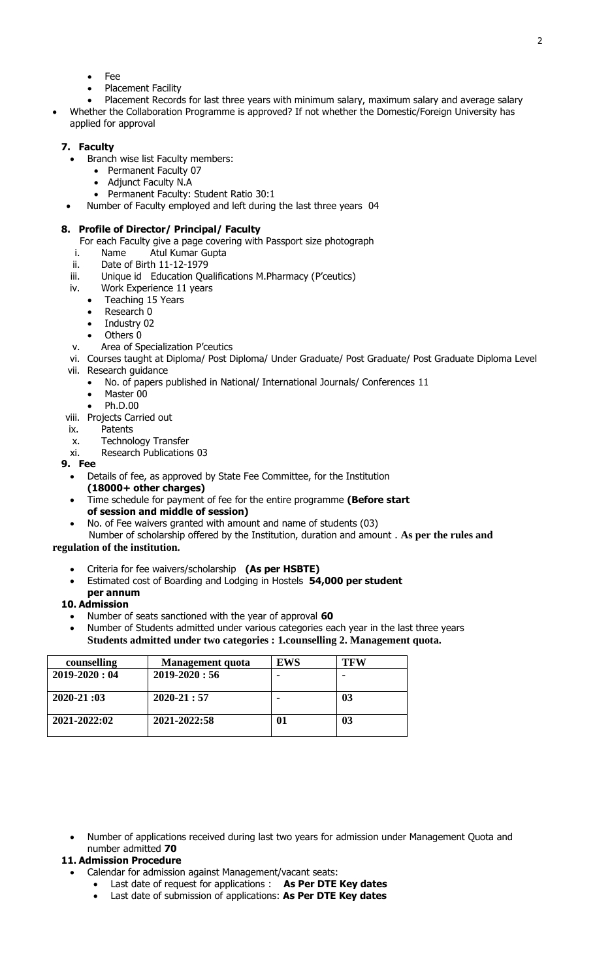- Fee
- Placement Facility
- Placement Records for last three years with minimum salary, maximum salary and average salary • Whether the Collaboration Programme is approved? If not whether the Domestic/Foreign University has

# applied for approval

# **7. Faculty**

- Branch wise list Faculty members:
	- Permanent Faculty 07
	- Adjunct Faculty N.A
	- Permanent Faculty: Student Ratio 30:1
- Number of Faculty employed and left during the last three years 04

#### **8. Profile of Director/ Principal/ Faculty**

- For each Faculty give a page covering with Passport size photograph
- i. Name Atul Kumar Gupta
- ii. Date of Birth 11-12-1979
- iii. Unique id Education Qualifications M.Pharmacy (P'ceutics)
- iv. Work Experience 11 years
	- Teaching 15 Years
	- Research 0
	- Industry 02
	- Others 0
- v. Area of Specialization P'ceutics
- vi. Courses taught at Diploma/ Post Diploma/ Under Graduate/ Post Graduate/ Post Graduate Diploma Level vii. Research guidance
- No. of papers published in National/ International Journals/ Conferences 11
	- Master 00
	- Ph.D.00
- viii. Projects Carried out
- ix. Patents
- x. Technology Transfer
- xi. Research Publications 03
- **9. Fee**
	- Details of fee, as approved by State Fee Committee, for the Institution
	- **(18000+ other charges)**
	- Time schedule for payment of fee for the entire programme **(Before start of session and middle of session)**
	- No. of Fee waivers granted with amount and name of students (03)

Number of scholarship offered by the Institution, duration and amount . **As per the rules and** 

#### **regulation of the institution.**

- Criteria for fee waivers/scholarship **(As per HSBTE)**
- Estimated cost of Boarding and Lodging in Hostels **54,000 per student**

#### **per annum 10. Admission**

- Number of seats sanctioned with the year of approval **60**
- Number of Students admitted under various categories each year in the last three years **Students admitted under two categories : 1.counselling 2. Management quota.**

| counselling        | <b>Management</b> quota | <b>EWS</b>       | <b>TFW</b> |
|--------------------|-------------------------|------------------|------------|
| $2019 - 2020 : 04$ | $2019 - 2020 : 56$      |                  |            |
| $2020 - 21:03$     | $2020 - 21:57$          |                  | 03         |
| 2021-2022:02       | 2021-2022:58            | $\boldsymbol{0}$ | 03         |

• Number of applications received during last two years for admission under Management Quota and number admitted **70**

# **11. Admission Procedure**

- Calendar for admission against Management/vacant seats:
	- Last date of request for applications : **As Per DTE Key dates**
	- Last date of submission of applications: **As Per DTE Key dates**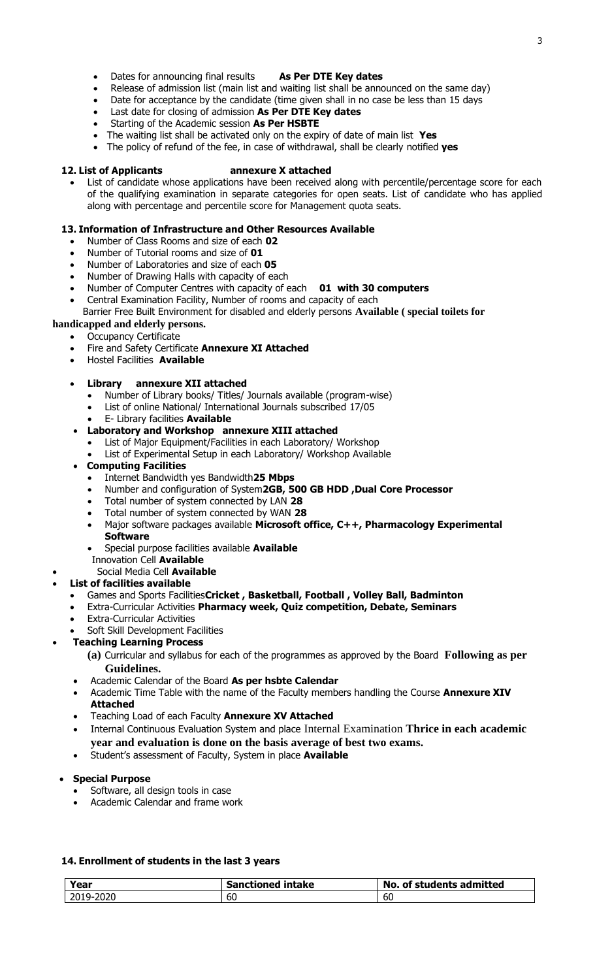- Dates for announcing final results **As Per DTE Key dates**
- Release of admission list (main list and waiting list shall be announced on the same day)
- Date for acceptance by the candidate (time given shall in no case be less than 15 days
- Last date for closing of admission **As Per DTE Key dates**
- Starting of the Academic session **As Per HSBTE**
- The waiting list shall be activated only on the expiry of date of main list **Yes**
- The policy of refund of the fee, in case of withdrawal, shall be clearly notified **yes**

#### **12. List of Applicants annexure X attached**

List of candidate whose applications have been received along with percentile/percentage score for each of the qualifying examination in separate categories for open seats. List of candidate who has applied along with percentage and percentile score for Management quota seats.

# **13. Information of Infrastructure and Other Resources Available**

- Number of Class Rooms and size of each **02**
- Number of Tutorial rooms and size of **01**
- Number of Laboratories and size of each **05**
- Number of Drawing Halls with capacity of each
- Number of Computer Centres with capacity of each **01 with 30 computers**
- Central Examination Facility, Number of rooms and capacity of each
- Barrier Free Built Environment for disabled and elderly persons **Available ( special toilets for**
- **handicapped and elderly persons.**
	- **Occupancy Certificate**
	- Fire and Safety Certificate **Annexure XI Attached**
	- Hostel Facilities **Available**

# • **Library annexure XII attached**

- Number of Library books/ Titles/ Journals available (program-wise)
- List of online National/ International Journals subscribed 17/05
- E- Library facilities **Available**
- **Laboratory and Workshop annexure XIII attached**
	- List of Major Equipment/Facilities in each Laboratory/ Workshop
	- List of Experimental Setup in each Laboratory/ Workshop Available

# • **Computing Facilities**

- Internet Bandwidth yes Bandwidth**25 Mbps**
- Number and configuration of System**2GB, 500 GB HDD ,Dual Core Processor**
- Total number of system connected by LAN **28**
- Total number of system connected by WAN **28**
- Major software packages available **Microsoft office, C++, Pharmacology Experimental Software**
- Special purpose facilities available **Available**
- Innovation Cell **Available**
- Social Media Cell **Available**
- **List of facilities available**
	- Games and Sports Facilities**Cricket , Basketball, Football , Volley Ball, Badminton**
	- Extra-Curricular Activities **Pharmacy week, Quiz competition, Debate, Seminars**
	- **Extra-Curricular Activities**

# Soft Skill Development Facilities

- **Teaching Learning Process**
	- **(a)** Curricular and syllabus for each of the programmes as approved by the Board **Following as per Guidelines.**
	- Academic Calendar of the Board **As per hsbte Calendar**
	- Academic Time Table with the name of the Faculty members handling the Course **Annexure XIV Attached**
	- Teaching Load of each Faculty **Annexure XV Attached**
	- Internal Continuous Evaluation System and place Internal Examination **Thrice in each academic year and evaluation is done on the basis average of best two exams.**
	- Student's assessment of Faculty, System in place **Available**

### • **Special Purpose**

- Software, all design tools in case
- Academic Calendar and frame work

### **14. Enrollment of students in the last 3 years**

| Year      | <b>Sanctioned intake</b> | No. of students admitted |
|-----------|--------------------------|--------------------------|
| 2019-2020 | 60                       | - OL                     |